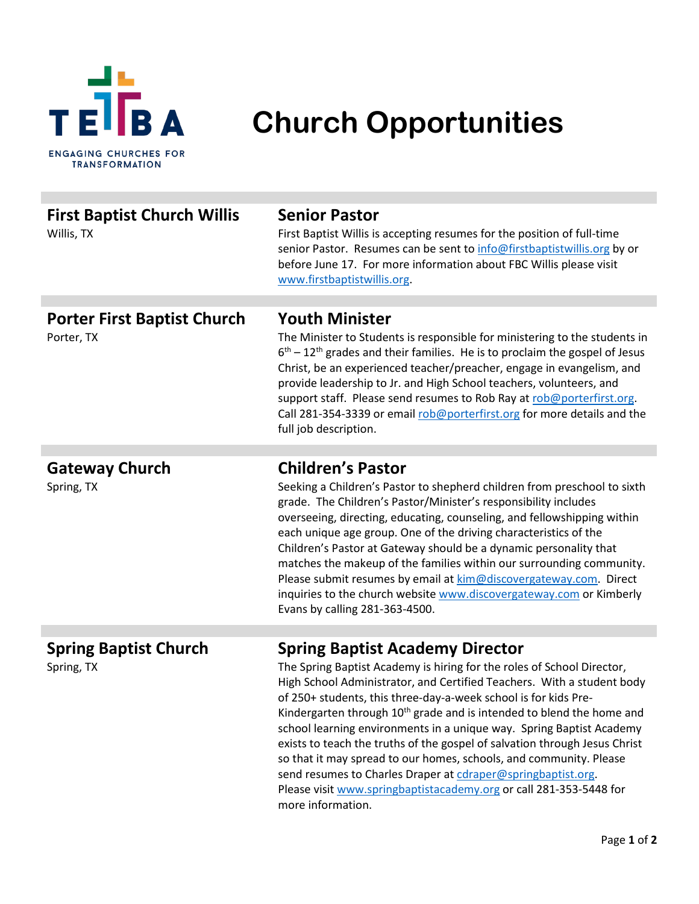

## **Church Opportunities**

| <b>First Baptist Church Willis</b><br>Willis, TX | <b>Senior Pastor</b><br>First Baptist Willis is accepting resumes for the position of full-time<br>senior Pastor. Resumes can be sent to info@firstbaptistwillis.org by or<br>before June 17. For more information about FBC Willis please visit<br>www.firstbaptistwillis.org.                                                                                                                                                                                                                                                                                                                                                                   |
|--------------------------------------------------|---------------------------------------------------------------------------------------------------------------------------------------------------------------------------------------------------------------------------------------------------------------------------------------------------------------------------------------------------------------------------------------------------------------------------------------------------------------------------------------------------------------------------------------------------------------------------------------------------------------------------------------------------|
|                                                  | <b>Youth Minister</b>                                                                                                                                                                                                                                                                                                                                                                                                                                                                                                                                                                                                                             |
| <b>Porter First Baptist Church</b><br>Porter, TX | The Minister to Students is responsible for ministering to the students in<br>$6th - 12th$ grades and their families. He is to proclaim the gospel of Jesus<br>Christ, be an experienced teacher/preacher, engage in evangelism, and<br>provide leadership to Jr. and High School teachers, volunteers, and<br>support staff. Please send resumes to Rob Ray at rob@porterfirst.org.<br>Call 281-354-3339 or email rob@porterfirst.org for more details and the<br>full job description.                                                                                                                                                          |
|                                                  |                                                                                                                                                                                                                                                                                                                                                                                                                                                                                                                                                                                                                                                   |
| <b>Gateway Church</b><br>Spring, TX              | <b>Children's Pastor</b><br>Seeking a Children's Pastor to shepherd children from preschool to sixth<br>grade. The Children's Pastor/Minister's responsibility includes<br>overseeing, directing, educating, counseling, and fellowshipping within<br>each unique age group. One of the driving characteristics of the<br>Children's Pastor at Gateway should be a dynamic personality that<br>matches the makeup of the families within our surrounding community.<br>Please submit resumes by email at kim@discovergateway.com. Direct<br>inquiries to the church website www.discovergateway.com or Kimberly<br>Evans by calling 281-363-4500. |
| <b>Spring Baptist Church</b><br>Spring, TX       | <b>Spring Baptist Academy Director</b><br>The Spring Baptist Academy is hiring for the roles of School Director,<br>High School Administrator, and Certified Teachers. With a student body<br>of 250+ students, this three-day-a-week school is for kids Pre-<br>Kindergarten through 10 <sup>th</sup> grade and is intended to blend the home and<br>school learning environments in a unique way. Spring Baptist Academy<br>exists to teach the truths of the gospel of salvation through Jesus Christ<br>so that it may spread to our homes, schools, and community. Please                                                                    |
|                                                  | send resumes to Charles Draper at cdraper@springbaptist.org.                                                                                                                                                                                                                                                                                                                                                                                                                                                                                                                                                                                      |

Please visit [www.springbaptistacademy.org](http://www.springbaptistacademy.org/) or call 281-353-5448 for more information.